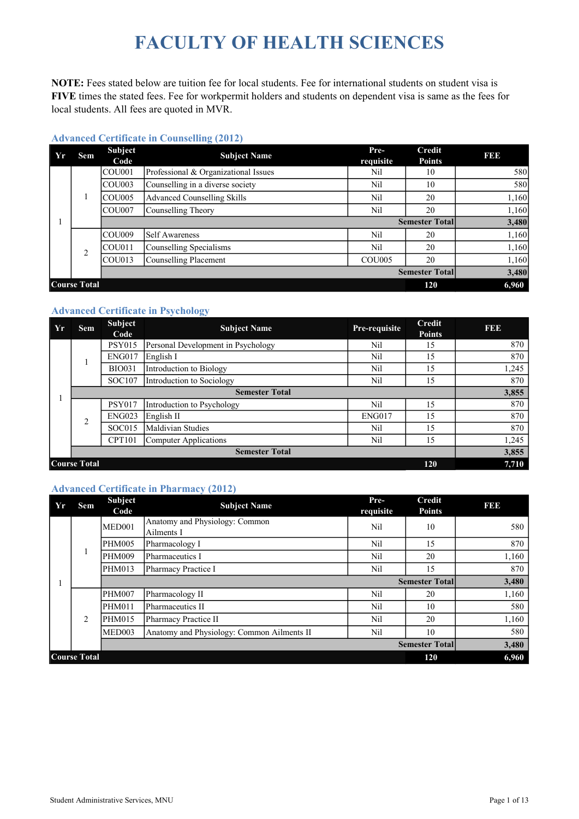# FACULTY OF HEALTH SCIENCES

NOTE: Fees stated below are tuition fee for local students. Fee for international students on student visa is FIVE times the stated fees. Fee for workpermit holders and students on dependent visa is same as the fees for local students. All fees are quoted in MVR.

| Yr | Sem            | <b>Subject</b><br>Code | $\sim$<br><b>Subject Name</b>        | Pre-<br>requisite | Credit<br><b>Points</b> | I 31 31 3      |
|----|----------------|------------------------|--------------------------------------|-------------------|-------------------------|----------------|
|    |                | COU <sub>001</sub>     | Professional & Organizational Issues | Nil               | 10                      | 580            |
|    |                | ICOU003                | Counselling in a diverse society     | Nil               | 10                      | 580            |
|    |                | COU <sub>005</sub>     | Advanced Counselling Skills          | Nil               | 20                      | 1,160          |
|    |                | ICOU007                | Counselling Theory                   | Nil               | 20                      | 1,160          |
|    |                |                        |                                      |                   | <b>Semester Total</b>   | 3,480          |
|    |                |                        |                                      |                   |                         |                |
|    |                | ICOU009                | <b>Self Awareness</b>                | Nil               | 20                      | 1,160          |
|    |                | ICOU011                | Counselling Specialisms              | Nil               | 20                      | 1,160          |
|    | $\overline{2}$ | COU013                 | Counselling Placement                | <b>COU005</b>     | 20                      |                |
|    |                |                        |                                      |                   | <b>Semester Total</b>   | 1,160<br>3,480 |

#### Advanced Certificate in Counselling (2012)

#### Advanced Certificate in Psychology

| Yr | <b>Sem</b>                        | <b>Subject</b><br>Code | <b>Subject Name</b>                | Pre-requisite | <b>Credit</b><br><b>Points</b> | <b>BBB</b> |  |
|----|-----------------------------------|------------------------|------------------------------------|---------------|--------------------------------|------------|--|
|    |                                   | <b>PSY015</b>          | Personal Development in Psychology | Nil           | 15                             | 870        |  |
|    |                                   | <b>ENG017</b>          | English I                          | Nil           | 15                             | 870        |  |
|    |                                   | <b>BIO031</b>          | Introduction to Biology            | Nil           | 15                             | 1,245      |  |
|    |                                   | SOC107                 | Introduction to Sociology          | Nil           | 15                             | 870        |  |
|    |                                   |                        |                                    | 3,855         |                                |            |  |
|    |                                   | <b>PSY017</b>          | Introduction to Psychology         | Nil           | 15                             | 870        |  |
|    | $\overline{2}$                    | <b>ENG023</b>          | English <sub>II</sub>              | ENG017        | 15                             | 870        |  |
|    |                                   | SOC015                 | Maldivian Studies                  | Nil           | 15                             | 870        |  |
|    |                                   | <b>CPT101</b>          | Computer Applications              | Nil           | 15                             | 1,245      |  |
|    |                                   |                        | <b>Semester Total</b>              |               |                                | 3,855      |  |
|    | <b>Course Total</b><br><b>120</b> |                        |                                    |               |                                |            |  |

#### Advanced Certificate in Pharmacy (2012)

| Yr | Sem                 | <b>Subject</b><br>Code | <b>Subject Name</b>                          | Pre-<br>requisite | Credit<br><b>Points</b> | I 31 31 3 |
|----|---------------------|------------------------|----------------------------------------------|-------------------|-------------------------|-----------|
|    |                     | MED <sub>001</sub>     | Anatomy and Physiology: Common<br>Ailments I | Nil               | 10                      | 580       |
|    |                     | PHM005                 | Pharmacology I                               | Nil               | 15                      | 870       |
|    | 1                   | <b>PHM009</b>          | Pharmaceutics I                              | Nil               | 20                      | 1,160     |
|    |                     | PHM013                 | Pharmacy Practice I                          | Nil               | 15                      | 870       |
|    |                     |                        |                                              |                   | <b>Semester Total</b>   | 3,480     |
|    |                     | PHM007                 | Pharmacology II                              | Nil               | 20                      | 1,160     |
|    |                     | <b>PHM011</b>          | Pharmaceutics II                             | Nil               | 10                      | 580       |
|    | 2                   | PHM015                 | Pharmacy Practice II                         | Nil               | 20                      | 1,160     |
|    |                     | MED003                 | Anatomy and Physiology: Common Ailments II   | Nil               | 10                      | 580       |
|    |                     |                        |                                              |                   | <b>Semester Total</b>   | 3,480     |
|    | <b>Course Total</b> |                        |                                              |                   | 120                     | 6,960     |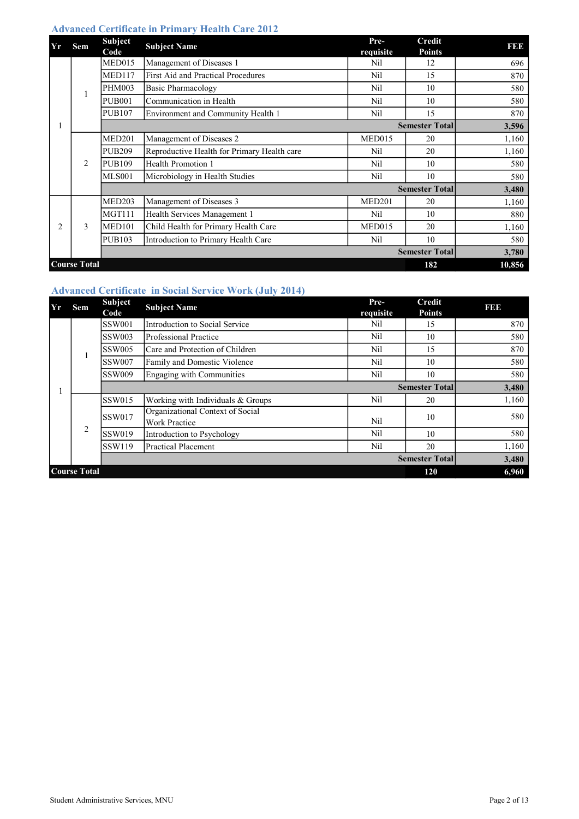### Advanced Certificate in Primary Health Care 2012

| Yr             | <b>Sem</b>          | Subject       | <b>Subject Name</b>                         | Pre-               | Credit                | I 31 34 3 |
|----------------|---------------------|---------------|---------------------------------------------|--------------------|-----------------------|-----------|
|                |                     | Code          |                                             | requisite          | <b>Points</b>         |           |
|                |                     | MED015        | Management of Diseases 1                    | Nil                | 12                    | 696       |
|                |                     | <b>MED117</b> | First Aid and Practical Procedures          | Nil                | 15                    | 870       |
|                | 1                   | <b>PHM003</b> | Basic Pharmacology                          | Nil                | 10                    | 580       |
|                |                     | <b>PUB001</b> | Communication in Health                     | Nil                | 10                    | 580       |
|                |                     | <b>PUB107</b> | Environment and Community Health 1          | Nil                | 15                    | 870       |
|                |                     |               |                                             |                    | <b>Semester Total</b> | 3,596     |
|                | 2                   | <b>MED201</b> | Management of Diseases 2                    | MED015             | 20                    | 1,160     |
|                |                     | <b>PUB209</b> | Reproductive Health for Primary Health care | Nil                | 20                    | 1,160     |
|                |                     | <b>PUB109</b> | Health Promotion 1                          | Nil                | 10                    | 580       |
|                |                     | <b>MLS001</b> | Microbiology in Health Studies              | Nil                | 10                    | 580       |
|                |                     |               |                                             |                    | <b>Semester Total</b> | 3,480     |
|                |                     | <b>MED203</b> | Management of Diseases 3                    | MED <sub>201</sub> | 20                    | 1,160     |
|                |                     | MGT111        | Health Services Management 1                | Nil                | 10                    | 880       |
| $\overline{c}$ | 3                   | <b>MED101</b> | Child Health for Primary Health Care        | <b>MED015</b>      | 20                    | 1,160     |
|                |                     | <b>PUB103</b> | Introduction to Primary Health Care         | Nil                | 10                    | 580       |
|                |                     |               |                                             |                    | <b>Semester Total</b> | 3,780     |
|                | <b>Course Total</b> |               |                                             |                    | 182                   | 10,856    |

## Advanced Certificate in Social Service Work (July 2014)

| Yr | Sem                 | Subject<br>Code | <b>Subject Name</b>                                      | Pre-<br>requisite | <b>Credit</b><br><b>Points</b> | <b>BB</b> |
|----|---------------------|-----------------|----------------------------------------------------------|-------------------|--------------------------------|-----------|
|    |                     | <b>SSW001</b>   | Introduction to Social Service                           | Nil               | 15                             | 870       |
|    |                     | <b>SSW003</b>   | Professional Practice                                    | Nil               | 10                             | 580       |
|    |                     | SSW005          | Care and Protection of Children                          | Nil               | 15                             | 870       |
|    |                     | <b>SSW007</b>   | Family and Domestic Violence                             | Nil               | 10                             | 580       |
|    |                     | <b>SSW009</b>   | Engaging with Communities                                | Nil               | 10                             | 580       |
|    |                     |                 |                                                          |                   | <b>Semester Total</b>          | 3,480     |
|    |                     | <b>SSW015</b>   | Working with Individuals & Groups                        | Nil               | 20                             | 1,160     |
|    |                     | <b>SSW017</b>   | Organizational Context of Social<br><b>Work Practice</b> | Nil               | 10                             | 580       |
|    | 2                   | <b>SSW019</b>   | Introduction to Psychology                               | Nil               | 10                             | 580       |
|    |                     | <b>SSW119</b>   | Practical Placement                                      | Nil               | 20                             | 1,160     |
|    |                     |                 |                                                          |                   | <b>Semester Total</b>          | 3,480     |
|    | <b>Course Total</b> | 120             | 6,960                                                    |                   |                                |           |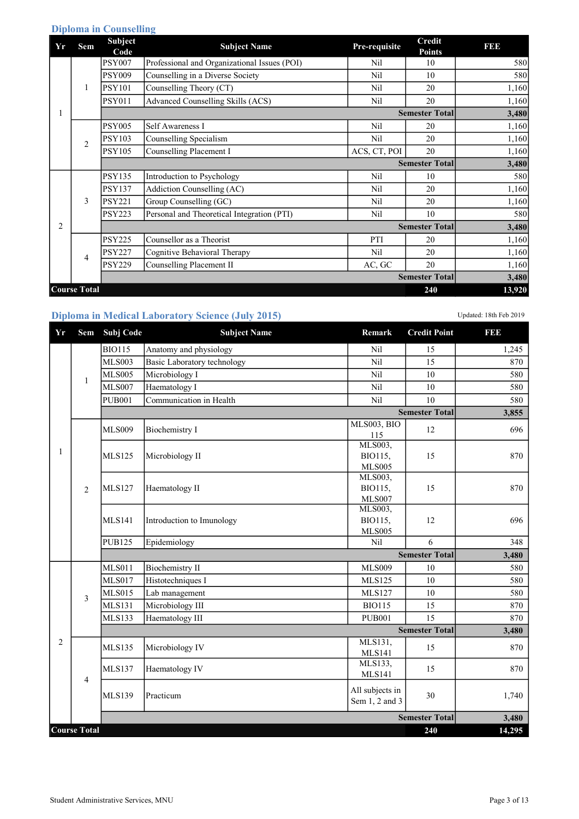# Diploma in Counselling

| Yr | Sem                 | <b>Subject</b><br>Code | <b>Subject Name</b>                          | Pre-requisite | <b>Credit</b><br><b>Points</b> | I 31 31 3 |
|----|---------------------|------------------------|----------------------------------------------|---------------|--------------------------------|-----------|
|    |                     | <b>PSY007</b>          | Professional and Organizational Issues (POI) | Nil           | 10                             | 580       |
|    |                     | <b>PSY009</b>          | Counselling in a Diverse Society             | Nil           | 10                             | 580       |
|    | 1                   | <b>PSY101</b>          | Counselling Theory (CT)                      | Nil           | 20                             | 1,160     |
|    |                     | <b>PSY011</b>          | Advanced Counselling Skills (ACS)            | Nil           | 20                             | 1,160     |
|    |                     |                        |                                              |               | <b>Semester Total</b>          | 3,480     |
|    | $\overline{2}$      | <b>PSY005</b>          | Self Awareness I                             | Nil           | 20                             | 1,160     |
|    |                     | PSY103                 | Counselling Specialism                       | Nil           | 20                             | 1,160     |
|    |                     | <b>PSY105</b>          | Counselling Placement I                      | ACS, CT, POI  | 20                             | 1,160     |
|    |                     |                        |                                              |               | <b>Semester Total</b>          | 3,480     |
|    |                     | <b>PSY135</b>          | Introduction to Psychology                   | Nil           | 10                             | 580       |
|    |                     | <b>PSY137</b>          | Addiction Counselling (AC)                   | Nil           | 20                             | 1,160     |
|    | 3                   | <b>PSY221</b>          | Group Counselling (GC)                       | Nil           | 20                             | 1,160     |
|    |                     | <b>PSY223</b>          | Personal and Theoretical Integration (PTI)   | Nil           | 10                             | 580       |
| 2  |                     |                        |                                              |               | <b>Semester Total</b>          | 3,480     |
|    |                     | <b>PSY225</b>          | Counsellor as a Theorist                     | PTI           | 20                             | 1,160     |
|    | 4                   | <b>PSY227</b>          | Cognitive Behavioral Therapy                 | Nil           | 20                             | 1,160     |
|    |                     | <b>PSY229</b>          | Counselling Placement II                     | AC, GC        | 20                             | 1,160     |
|    |                     |                        |                                              |               | <b>Semester Total</b>          | 3,480     |
|    | <b>Course Total</b> |                        |                                              |               | 240                            | 13,920    |

# Diploma in Medical Laboratory Science (July 2015) Updated: 18th Feb 2019

| Yr | Sem                 | Subj Code     | <b>Subject Name</b>         | Remark                                               | <b>Credit Point</b>   | I 31 31 3 |
|----|---------------------|---------------|-----------------------------|------------------------------------------------------|-----------------------|-----------|
|    |                     | <b>BIO115</b> | Anatomy and physiology      | Nil                                                  | 15                    | 1,245     |
|    |                     | <b>MLS003</b> | Basic Laboratory technology | Nil                                                  | 15                    | 870       |
|    |                     | <b>MLS005</b> | Microbiology I              | Nil                                                  | 10                    | 580       |
|    | 1                   | MLS007        | Haematology I               | Nil                                                  | 10                    | 580       |
|    |                     | <b>PUB001</b> | Communication in Health     | Nil                                                  | 10                    | 580       |
|    |                     |               |                             |                                                      | <b>Semester Total</b> | 3,855     |
|    |                     | <b>MLS009</b> | <b>Biochemistry I</b>       | MLS003, BIO<br>115                                   | 12                    | 696       |
| 1  |                     | <b>MLS125</b> | Microbiology II             | MLS003,<br>BIO115,                                   | 15                    | 870       |
|    | $\overline{2}$      | <b>MLS127</b> | Haematology II              | <b>MLS005</b><br>MLS003,<br>BIO115,<br><b>MLS007</b> | 15                    | 870       |
|    |                     | <b>MLS141</b> | Introduction to Imunology   | MLS003,<br>BIO115,<br><b>MLS005</b>                  | 12                    | 696       |
|    |                     | <b>PUB125</b> | Epidemiology                | Nil                                                  | 6                     | 348       |
|    |                     |               |                             |                                                      | <b>Semester Total</b> | 3,480     |
|    |                     | <b>MLS011</b> | <b>Biochemistry II</b>      | <b>MLS009</b>                                        | 10                    | 580       |
|    |                     | <b>MLS017</b> | Histotechniques I           | <b>MLS125</b>                                        | 10                    | 580       |
|    | 3                   | <b>MLS015</b> | Lab management              | <b>MLS127</b>                                        | 10                    | 580       |
|    |                     | <b>MLS131</b> | Microbiology III            | <b>BIO115</b>                                        | 15                    | 870       |
|    |                     | <b>MLS133</b> | Haematology III             | <b>PUB001</b>                                        | 15                    | 870       |
|    |                     |               |                             |                                                      | <b>Semester Total</b> | 3,480     |
| 2  |                     | <b>MLS135</b> | Microbiology IV             | MLS131,<br><b>MLS141</b>                             | 15                    | 870       |
|    |                     | <b>MLS137</b> | Haematology IV              | MLS133,<br><b>MLS141</b>                             | 15                    | 870       |
|    | 4                   | <b>MLS139</b> | Practicum                   | All subjects in<br>Sem 1, 2 and 3                    | 30                    | 1,740     |
|    |                     |               |                             |                                                      | <b>Semester Total</b> | 3,480     |
|    | <b>Course Total</b> |               |                             |                                                      | 240                   | 14,295    |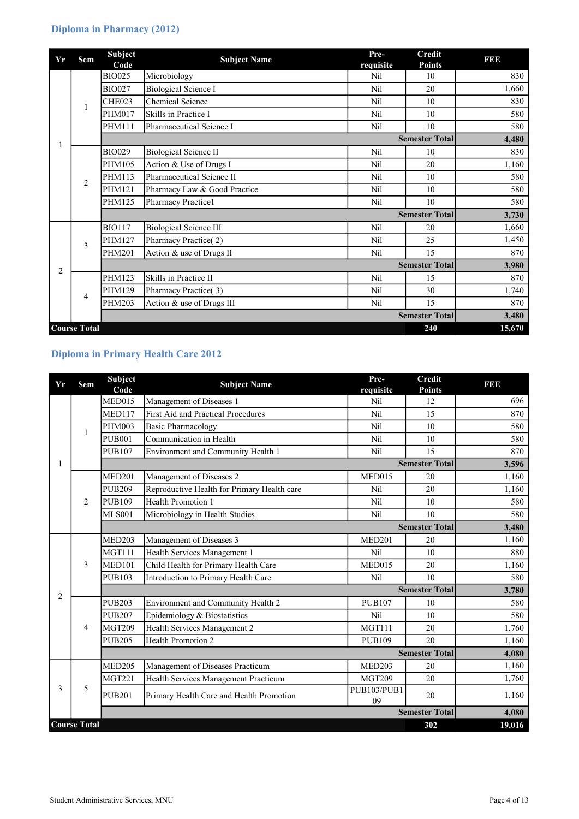# Diploma in Pharmacy (2012)

| Yr             | Sem                 | <b>Subject</b><br>Code | <b>Subject Name</b>           | Pre-<br>requisite | Credit<br><b>Points</b> | <b>BBB</b> |
|----------------|---------------------|------------------------|-------------------------------|-------------------|-------------------------|------------|
|                |                     | <b>BIO025</b>          | Microbiology                  | Nil               | 10                      | 830        |
|                |                     | <b>BIO027</b>          | <b>Biological Science I</b>   | Nil               | 20                      | 1,660      |
|                | 1                   | CHE023                 | <b>Chemical Science</b>       | Nil               | 10                      | 830        |
|                |                     | <b>PHM017</b>          | Skills in Practice I          | Nil               | 10                      | 580        |
|                |                     | <b>PHM111</b>          | Pharmaceutical Science I      | Nil               | 10                      | 580        |
|                |                     |                        |                               |                   | <b>Semester Total</b>   | 4,480      |
|                |                     | <b>BIO029</b>          | Biological Science II         | Nil               | 10                      | 830        |
|                | $\overline{2}$      | PHM105                 | Action & Use of Drugs I       | N <sub>il</sub>   | 20                      | 1,160      |
|                |                     | <b>PHM113</b>          | Pharmaceutical Science II     | N <sub>i</sub>    | 10                      | 580        |
|                |                     | <b>PHM121</b>          | Pharmacy Law & Good Practice  | Nil               | 10                      | 580        |
|                |                     | PHM125                 | <b>Pharmacy Practice1</b>     | Nil               | 10                      | 580        |
|                |                     |                        |                               |                   | <b>Semester Total</b>   | 3,730      |
|                |                     | <b>BIO117</b>          | <b>Biological Science III</b> | Nil               | 20                      | 1,660      |
|                | 3                   | <b>PHM127</b>          | Pharmacy Practice(2)          | Nil               | 25                      | 1,450      |
|                |                     | <b>PHM201</b>          | Action & use of Drugs II      | Nil               | 15                      | 870        |
| $\overline{2}$ |                     |                        |                               |                   | <b>Semester Total</b>   | 3,980      |
|                |                     | PHM123                 | Skills in Practice II         | Nil               | 15                      | 870        |
|                | 4                   | <b>PHM129</b>          | Pharmacy Practice(3)          | Nil               | 30                      | 1,740      |
|                |                     | <b>PHM203</b>          | Action & use of Drugs III     | Nil               | 15                      | 870        |
|                |                     |                        |                               |                   | <b>Semester Total</b>   | 3,480      |
|                | <b>Course Total</b> |                        |                               |                   | 240                     | 15,670     |

# Diploma in Primary Health Care 2012

| Yr             | Sem                 | <b>Subject</b> | <b>Subject Name</b>                         | Pre-              | <b>Credit</b>         | 191919 |
|----------------|---------------------|----------------|---------------------------------------------|-------------------|-----------------------|--------|
|                |                     | Code           |                                             | requisite         | <b>Points</b>         |        |
|                |                     | MED015         | Management of Diseases 1                    | Nil               | 12                    | 696    |
|                | 1                   | <b>MED117</b>  | <b>First Aid and Practical Procedures</b>   | <b>Nil</b>        | 15                    | 870    |
|                |                     | <b>PHM003</b>  | <b>Basic Pharmacology</b>                   | N <sub>il</sub>   | 10                    | 580    |
|                |                     | <b>PUB001</b>  | Communication in Health                     | Nil               | 10                    | 580    |
|                |                     | <b>PUB107</b>  | Environment and Community Health 1          | <b>Nil</b>        | 15                    | 870    |
| 1              |                     |                |                                             |                   | <b>Semester Total</b> | 3,596  |
|                |                     | <b>MED201</b>  | Management of Diseases 2                    | MED015            | 20                    | 1,160  |
|                |                     | <b>PUB209</b>  | Reproductive Health for Primary Health care | Nil               | 20                    | 1,160  |
|                | 2                   | <b>PUB109</b>  | <b>Health Promotion 1</b>                   | Nil               | 10                    | 580    |
|                |                     | <b>MLS001</b>  | Microbiology in Health Studies              | <b>Nil</b>        | 10                    | 580    |
|                |                     |                |                                             |                   | <b>Semester Total</b> | 3,480  |
|                |                     | <b>MED203</b>  | Management of Diseases 3                    | <b>MED201</b>     | 20                    | 1,160  |
|                | 3                   | <b>MGT111</b>  | Health Services Management 1                | <b>Nil</b>        | 10                    | 880    |
|                |                     | <b>MED101</b>  | Child Health for Primary Health Care        | MED015            | 20                    | 1,160  |
|                |                     | <b>PUB103</b>  | Introduction to Primary Health Care         | N <sub>i</sub>    | 10                    | 580    |
| $\overline{2}$ |                     |                |                                             |                   | <b>Semester Total</b> | 3,780  |
|                |                     | <b>PUB203</b>  | Environment and Community Health 2          | <b>PUB107</b>     | 10                    | 580    |
|                |                     | <b>PUB207</b>  | Epidemiology & Biostatistics                | Nil               | 10                    | 580    |
|                | 4                   | <b>MGT209</b>  | Health Services Management 2                | <b>MGT111</b>     | 20                    | 1,760  |
|                |                     | <b>PUB205</b>  | <b>Health Promotion 2</b>                   | <b>PUB109</b>     | 20                    | 1,160  |
|                |                     |                |                                             |                   | <b>Semester Total</b> | 4,080  |
|                |                     | <b>MED205</b>  | Management of Diseases Practicum            | <b>MED203</b>     | 20                    | 1,160  |
|                |                     | <b>MGT221</b>  | Health Services Management Practicum        | <b>MGT209</b>     | 20                    | 1,760  |
| 3              | 5                   | <b>PUB201</b>  | Primary Health Care and Health Promotion    | PUB103/PUB1<br>09 | 20                    | 1,160  |
|                |                     |                |                                             |                   | <b>Semester Total</b> | 4,080  |
|                | <b>Course Total</b> |                |                                             |                   | 302                   | 19,016 |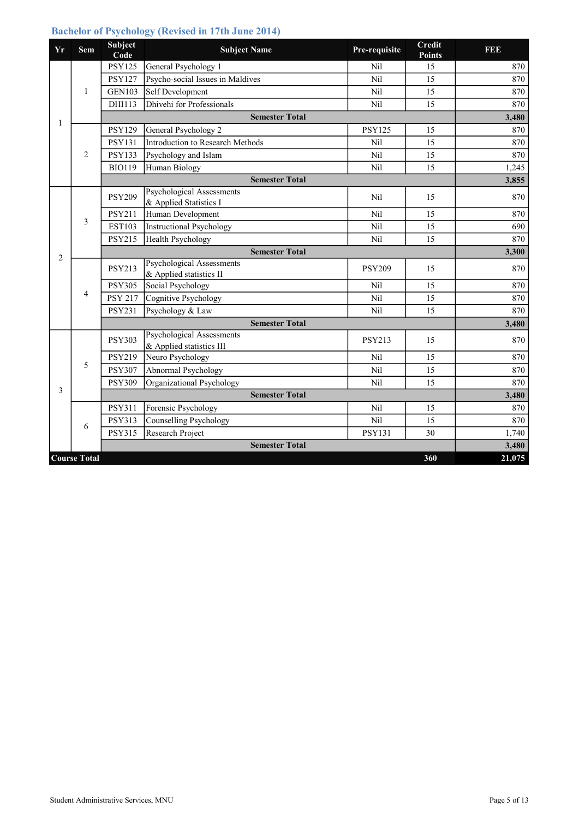## Bachelor of Psychology (Revised in 17th June 2014)

| Yr             | Sem                 | <b>Subject</b><br>Code | <b>Subject Name</b>                                   | Pre-requisite | <b>Credit</b><br><b>Points</b> | <b>BBD</b> |
|----------------|---------------------|------------------------|-------------------------------------------------------|---------------|--------------------------------|------------|
|                |                     | <b>PSY125</b>          | General Psychology 1                                  | Nil           | 15                             | 870        |
|                |                     | <b>PSY127</b>          | Psycho-social Issues in Maldives                      | Nil           | 15                             | 870        |
|                | 1                   | <b>GEN103</b>          | Self Development                                      | Nil           | 15                             | 870        |
|                |                     | DHI113                 | Dhivehi for Professionals                             | Nil           | 15                             | 870        |
| 1              |                     |                        | <b>Semester Total</b>                                 |               |                                | 3,480      |
|                |                     | <b>PSY129</b>          | General Psychology 2                                  | <b>PSY125</b> | 15                             | 870        |
|                |                     | <b>PSY131</b>          | Introduction to Research Methods                      | Nil           | 15                             | 870        |
|                | $\overline{2}$      | <b>PSY133</b>          | Psychology and Islam                                  | Nil           | 15                             | 870        |
|                |                     | <b>BIO119</b>          | Human Biology                                         | Nil           | 15                             | 1,245      |
|                |                     |                        | <b>Semester Total</b>                                 |               |                                | 3,855      |
|                |                     | <b>PSY209</b>          | Psychological Assessments<br>& Applied Statistics I   | Nil           | 15                             | 870        |
|                | 3                   | <b>PSY211</b>          | Human Development                                     | <b>Nil</b>    | 15                             | 870        |
|                |                     | <b>EST103</b>          | <b>Instructional Psychology</b>                       | Nil           | 15                             | 690        |
|                |                     | <b>PSY215</b>          | <b>Health Psychology</b>                              | Nil           | 15                             | 870        |
| $\overline{2}$ |                     |                        | <b>Semester Total</b>                                 |               |                                | 3,300      |
|                |                     | <b>PSY213</b>          | Psychological Assessments<br>& Applied statistics II  | <b>PSY209</b> | 15                             | 870        |
|                |                     | <b>PSY305</b>          | Social Psychology                                     | Nil           | 15                             | 870        |
|                | 4                   | <b>PSY 217</b>         | Cognitive Psychology                                  | Nil           | 15                             | 870        |
|                |                     | <b>PSY231</b>          | Psychology & Law                                      | Nil           | 15                             | 870        |
|                |                     |                        | <b>Semester Total</b>                                 |               |                                | 3,480      |
|                |                     | <b>PSY303</b>          | Psychological Assessments<br>& Applied statistics III | <b>PSY213</b> | 15                             | 870        |
|                |                     | <b>PSY219</b>          | Neuro Psychology                                      | Nil           | 15                             | 870        |
|                | 5                   | <b>PSY307</b>          | Abnormal Psychology                                   | Nil           | 15                             | 870        |
|                |                     | <b>PSY309</b>          | Organizational Psychology                             | Nil           | 15                             | 870        |
| 3              |                     |                        | <b>Semester Total</b>                                 |               |                                | 3,480      |
|                |                     | <b>PSY311</b>          | Forensic Psychology                                   | Nil           | 15                             | 870        |
|                | 6                   | <b>PSY313</b>          | <b>Counselling Psychology</b>                         | Nil           | 15                             | 870        |
|                |                     | <b>PSY315</b>          | Research Project                                      | <b>PSY131</b> | 30                             | 1,740      |
|                |                     |                        | <b>Semester Total</b>                                 |               |                                | 3,480      |
|                | <b>Course Total</b> |                        |                                                       |               | 360                            | 21,075     |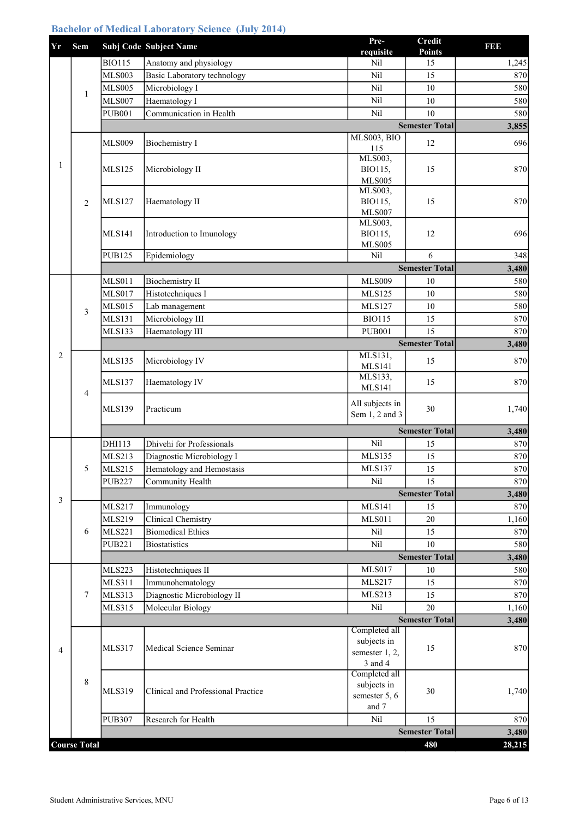# Bachelor of Medical Laboratory Science (July 2014)

| Yr             | Sem                 |               | Subj Code Subject Name             | Pre-<br>requisite                 | Credit<br><b>Points</b> | 1  1   1 |
|----------------|---------------------|---------------|------------------------------------|-----------------------------------|-------------------------|----------|
|                |                     | <b>BIO115</b> | Anatomy and physiology             | Nil                               | 15                      | 1,245    |
|                |                     | <b>MLS003</b> | Basic Laboratory technology        | Nil                               | 15                      | 870      |
|                |                     | <b>MLS005</b> | Microbiology I                     | Nil                               | 10                      | 580      |
|                | $\mathbf{1}$        | <b>MLS007</b> | Haematology I                      | Nil                               | 10                      | 580      |
|                |                     | <b>PUB001</b> | Communication in Health            | Nil                               | 10                      | 580      |
|                |                     |               |                                    |                                   | <b>Semester Total</b>   | 3,855    |
|                |                     | <b>MLS009</b> | <b>Biochemistry I</b>              | MLS003, BIO                       | 12                      | 696      |
|                |                     |               |                                    | 115                               |                         |          |
| 1              |                     |               |                                    | MLS003,                           |                         |          |
|                |                     | <b>MLS125</b> | Microbiology II                    | BIO115,<br><b>MLS005</b>          | 15                      | 870      |
|                |                     |               |                                    | MLS003,                           |                         |          |
|                | $\overline{2}$      | <b>MLS127</b> | Haematology II                     | BIO115,                           | 15                      | 870      |
|                |                     |               |                                    | <b>MLS007</b>                     |                         |          |
|                |                     |               |                                    | MLS003,                           |                         |          |
|                |                     | <b>MLS141</b> | Introduction to Imunology          | BIO115,<br><b>MLS005</b>          | 12                      | 696      |
|                |                     | <b>PUB125</b> | Epidemiology                       | Nil                               | 6                       | 348      |
|                |                     |               |                                    |                                   | <b>Semester Total</b>   | 3,480    |
|                |                     | <b>MLS011</b> | <b>Biochemistry II</b>             | <b>MLS009</b>                     | 10                      | 580      |
|                |                     | <b>MLS017</b> | Histotechniques I                  | <b>MLS125</b>                     | 10                      | 580      |
|                |                     | <b>MLS015</b> | Lab management                     | <b>MLS127</b>                     | 10                      | 580      |
|                | 3                   | <b>MLS131</b> | Microbiology III                   | <b>BIO115</b>                     | 15                      | 870      |
|                |                     | <b>MLS133</b> | Haematology III                    | <b>PUB001</b>                     | 15                      | 870      |
|                |                     |               |                                    |                                   | <b>Semester Total</b>   | 3,480    |
| $\overline{2}$ |                     | <b>MLS135</b> | Microbiology IV                    | MLS131,<br><b>MLS141</b>          | 15                      | 870      |
|                |                     | <b>MLS137</b> | Haematology IV                     | MLS133,<br><b>MLS141</b>          | 15                      | 870      |
|                | $\overline{4}$      | <b>MLS139</b> | Practicum                          | All subjects in<br>Sem 1, 2 and 3 | 30                      | 1,740    |
|                |                     |               |                                    |                                   | <b>Semester Total</b>   | 3,480    |
|                |                     | DHI113        | Dhivehi for Professionals          | Nil                               | 15                      | 870      |
|                |                     | <b>MLS213</b> | Diagnostic Microbiology I          | <b>MLS135</b>                     | 15                      | 870      |
|                | 5                   | <b>MLS215</b> | Hematology and Hemostasis          | <b>MLS137</b>                     | 15                      | 870      |
|                |                     | <b>PUB227</b> | Community Health                   | Nil                               | 15                      | 870      |
| 3              |                     |               |                                    |                                   | <b>Semester Total</b>   | 3,480    |
|                |                     | <b>MLS217</b> | Immunology                         | <b>MLS141</b>                     | 15                      | 870      |
|                |                     | <b>MLS219</b> | Clinical Chemistry                 | <b>MLS011</b>                     | $20\,$                  | 1,160    |
|                | 6                   | <b>MLS221</b> | <b>Biomedical Ethics</b>           | Nil                               | 15                      | 870      |
|                |                     | <b>PUB221</b> | <b>Biostatistics</b>               | Nil                               | $10\,$                  | 580      |
|                |                     |               |                                    |                                   | <b>Semester Total</b>   | 3,480    |
|                |                     | <b>MLS223</b> | Histotechniques II                 | <b>MLS017</b>                     | 10                      | 580      |
|                |                     | <b>MLS311</b> | Immunohematology                   | <b>MLS217</b>                     | 15                      | 870      |
|                | 7                   | <b>MLS313</b> | Diagnostic Microbiology II         | <b>MLS213</b>                     | 15                      | 870      |
|                |                     | <b>MLS315</b> | Molecular Biology                  | Nil                               | 20                      | 1,160    |
|                |                     |               |                                    |                                   | <b>Semester Total</b>   | 3,480    |
|                |                     |               |                                    | Completed all<br>subjects in      |                         |          |
| $\overline{4}$ |                     | <b>MLS317</b> | Medical Science Seminar            | semester 1, 2,                    | 15                      | 870      |
|                |                     |               |                                    | 3 and 4                           |                         |          |
|                |                     |               |                                    | Completed all                     |                         |          |
|                | 8                   | <b>MLS319</b> | Clinical and Professional Practice | subjects in                       | 30                      | 1,740    |
|                |                     |               |                                    | semester 5, 6<br>and 7            |                         |          |
|                |                     | <b>PUB307</b> | Research for Health                | Nil                               | 15                      | 870      |
|                |                     |               |                                    |                                   | <b>Semester Total</b>   | 3,480    |
|                | <b>Course Total</b> |               |                                    |                                   | 480                     | 28,215   |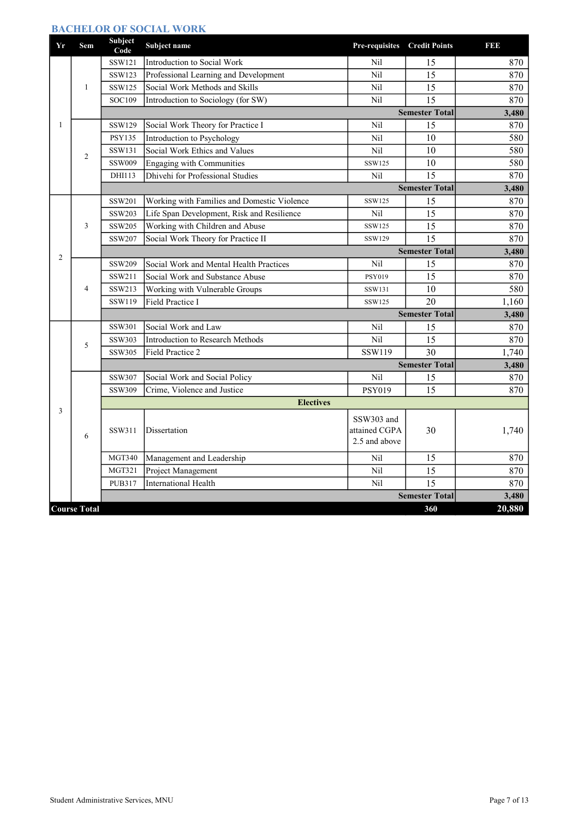#### BACHELOR OF SOCIAL WORK

| Yr             | Sem                 | Subject<br>Code       | Subject name                                | Pre-requisites | <b>Credit Points</b>  | E 5 5 5 |
|----------------|---------------------|-----------------------|---------------------------------------------|----------------|-----------------------|---------|
|                |                     | SSW121                | Introduction to Social Work                 | Nil            | 15                    | 870     |
|                |                     | SSW123                | Professional Learning and Development       | Nil            | 15                    | 870     |
|                | 1                   | SSW125                | Social Work Methods and Skills              | Nil            | 15                    | 870     |
|                |                     | SOC109                | Introduction to Sociology (for SW)          | Nil            | $\overline{15}$       | 870     |
|                |                     |                       |                                             |                | <b>Semester Total</b> | 3,480   |
| $\mathbf{1}$   |                     | SSW129                | Social Work Theory for Practice I           | Nil            | 15                    | 870     |
|                |                     | <b>PSY135</b>         | Introduction to Psychology                  | Nil            | 10                    | 580     |
|                | 2                   | SSW131                | Social Work Ethics and Values               | Nil            | 10                    | 580     |
|                |                     | <b>SSW009</b>         | Engaging with Communities                   | SSW125         | 10                    | 580     |
|                |                     | DHI113                | Dhivehi for Professional Studies            | Nil            | 15                    | 870     |
|                |                     |                       |                                             |                | <b>Semester Total</b> | 3,480   |
|                |                     | SSW201                | Working with Families and Domestic Violence | SSW125         | 15                    | 870     |
|                | 3                   | SSW203                | Life Span Development, Risk and Resilience  | Nil            | 15                    | 870     |
|                |                     | SSW205                | Working with Children and Abuse             | SSW125         | 15                    | 870     |
|                |                     | SSW207                | Social Work Theory for Practice II          | <b>SSW129</b>  | 15                    | 870     |
| $\overline{2}$ |                     |                       |                                             |                | <b>Semester Total</b> | 3,480   |
|                |                     | SSW209                | Social Work and Mental Health Practices     | Nil            | 15                    | 870     |
|                |                     | SSW211                | Social Work and Substance Abuse             | <b>PSY019</b>  | 15                    | 870     |
|                | $\overline{4}$      | SSW213                | Working with Vulnerable Groups              | SSW131         | 10                    | 580     |
|                |                     | SSW119                | Field Practice I                            | SSW125         | 20                    | 1,160   |
|                |                     | <b>Semester Total</b> |                                             |                |                       | 3,480   |
|                |                     | SSW301                | Social Work and Law                         | Nil            | 15                    | 870     |
|                | 5                   | SSW303                | Introduction to Research Methods            | Nil            | 15                    | 870     |
|                |                     | SSW305                | Field Practice 2                            | SSW119         | 30                    | 1,740   |
|                |                     |                       |                                             |                | <b>Semester Total</b> | 3,480   |
|                |                     | SSW307                | Social Work and Social Policy               | Nil            | 15                    | 870     |
|                |                     | SSW309                | Crime, Violence and Justice                 | <b>PSY019</b>  | 15                    | 870     |
|                |                     |                       | <b>Electives</b>                            |                |                       |         |
| 3              |                     |                       |                                             | SSW303 and     |                       |         |
|                |                     | SSW311                | Dissertation                                | attained CGPA  | 30                    | 1,740   |
|                | 6                   |                       |                                             | 2.5 and above  |                       |         |
|                |                     | <b>MGT340</b>         | Management and Leadership                   | Nil            | 15                    | 870     |
|                |                     | <b>MGT321</b>         | Project Management                          | Nil            | 15                    | 870     |
|                |                     | <b>PUB317</b>         | <b>International Health</b>                 | Nil            | $\overline{15}$       | 870     |
|                |                     |                       |                                             |                | <b>Semester Total</b> | 3,480   |
|                | <b>Course Total</b> |                       |                                             |                | 360                   | 20,880  |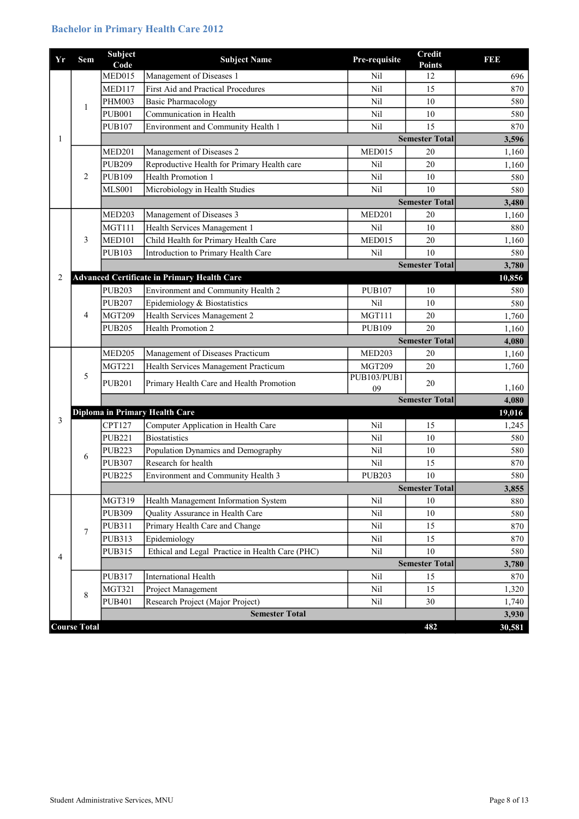# Bachelor in Primary Health Care 2012

| Yr             | Sem                 | Subject<br>Code | <b>Subject Name</b>                                | Pre-requisite     | <b>Credit</b><br><b>Points</b> | I 31 31 3 |
|----------------|---------------------|-----------------|----------------------------------------------------|-------------------|--------------------------------|-----------|
|                |                     | MED015          | Management of Diseases 1                           | Nil               | 12                             | 696       |
|                |                     | <b>MED117</b>   | First Aid and Practical Procedures                 | Nil               | 15                             | 870       |
|                | $\mathbf{1}$        | <b>PHM003</b>   | <b>Basic Pharmacology</b>                          | Nil               | 10                             | 580       |
|                |                     | <b>PUB001</b>   | Communication in Health                            | Nil               | $10\,$                         | 580       |
|                |                     | <b>PUB107</b>   | Environment and Community Health 1                 | Nil               | 15                             | 870       |
| $\mathbf{1}$   |                     |                 |                                                    |                   | <b>Semester Total</b>          | 3,596     |
|                |                     | <b>MED201</b>   | Management of Diseases 2                           | MED015            | 20                             | 1,160     |
|                |                     | <b>PUB209</b>   | Reproductive Health for Primary Health care        | Nil               | 20                             | 1,160     |
|                | 2                   | <b>PUB109</b>   | Health Promotion 1                                 | Nil               | 10                             | 580       |
|                |                     | <b>MLS001</b>   | Microbiology in Health Studies                     | Nil               | 10                             | 580       |
|                |                     |                 |                                                    |                   | <b>Semester Total</b>          | 3,480     |
|                |                     | MED203          | Management of Diseases 3                           | <b>MED201</b>     | 20                             | 1,160     |
|                |                     | <b>MGT111</b>   | Health Services Management 1                       | Nil               | 10                             | 880       |
|                | 3                   | <b>MED101</b>   | Child Health for Primary Health Care               | MED015            | 20                             | 1,160     |
|                |                     | <b>PUB103</b>   | Introduction to Primary Health Care                | Nil               | 10                             | 580       |
|                |                     |                 |                                                    |                   | <b>Semester Total</b>          | 3,780     |
| 2              |                     |                 | <b>Advanced Certificate in Primary Health Care</b> |                   |                                | 10,856    |
|                |                     | <b>PUB203</b>   | Environment and Community Health 2                 | <b>PUB107</b>     | 10                             | 580       |
|                |                     | <b>PUB207</b>   | Epidemiology & Biostatistics                       | Nil               | 10                             | 580       |
|                | 4                   | <b>MGT209</b>   | Health Services Management 2                       | MGT111            | 20                             | 1,760     |
|                |                     | <b>PUB205</b>   | Health Promotion 2                                 | <b>PUB109</b>     | 20                             | 1,160     |
|                |                     |                 |                                                    |                   | <b>Semester Total</b>          | 4,080     |
|                | 5                   | <b>MED205</b>   | Management of Diseases Practicum                   | MED203            | 20                             | 1,160     |
|                |                     | <b>MGT221</b>   | Health Services Management Practicum               | <b>MGT209</b>     | 20                             | 1,760     |
|                |                     | <b>PUB201</b>   | Primary Health Care and Health Promotion           | PUB103/PUB1<br>09 | 20                             | 1,160     |
|                |                     |                 |                                                    |                   | <b>Semester Total</b>          | 4,080     |
|                |                     |                 | Diploma in Primary Health Care                     |                   |                                | 19,016    |
| 3              |                     | CPT127          | Computer Application in Health Care                | Nil               | 15                             | 1,245     |
|                |                     | <b>PUB221</b>   | <b>Biostatistics</b>                               | Nil               | $10\,$                         | 580       |
|                |                     | <b>PUB223</b>   | Population Dynamics and Demography                 | Nil               | 10                             | 580       |
|                | 6                   | <b>PUB307</b>   | Research for health                                | Nil               | 15                             | 870       |
|                |                     | <b>PUB225</b>   | Environment and Community Health 3                 | <b>PUB203</b>     | $10\,$                         | 580       |
|                |                     |                 |                                                    |                   | <b>Semester Total</b>          | 3,855     |
|                |                     | MGT319          | Health Management Information System               | Nil               | 10                             | 880       |
|                |                     | <b>PUB309</b>   | Quality Assurance in Health Care                   | Nil               | 10                             | 580       |
|                |                     | <b>PUB311</b>   | Primary Health Care and Change                     | Nil               | 15                             | 870       |
|                | 7                   | PUB313          | Epidemiology                                       | Nil               | 15                             | 870       |
|                |                     | PUB315          | Ethical and Legal Practice in Health Care (PHC)    | Nil               | 10                             | 580       |
| $\overline{4}$ |                     |                 |                                                    |                   | <b>Semester Total</b>          | 3,780     |
|                |                     | <b>PUB317</b>   | <b>International Health</b>                        | Nil               | 15                             | 870       |
|                |                     | <b>MGT321</b>   | Project Management                                 | Nil               | 15                             | 1,320     |
|                | 8                   | <b>PUB401</b>   | Research Project (Major Project)                   | Nil               | 30                             | 1,740     |
|                |                     |                 | <b>Semester Total</b>                              |                   |                                | 3,930     |
|                | <b>Course Total</b> |                 |                                                    |                   | 482                            | 30,581    |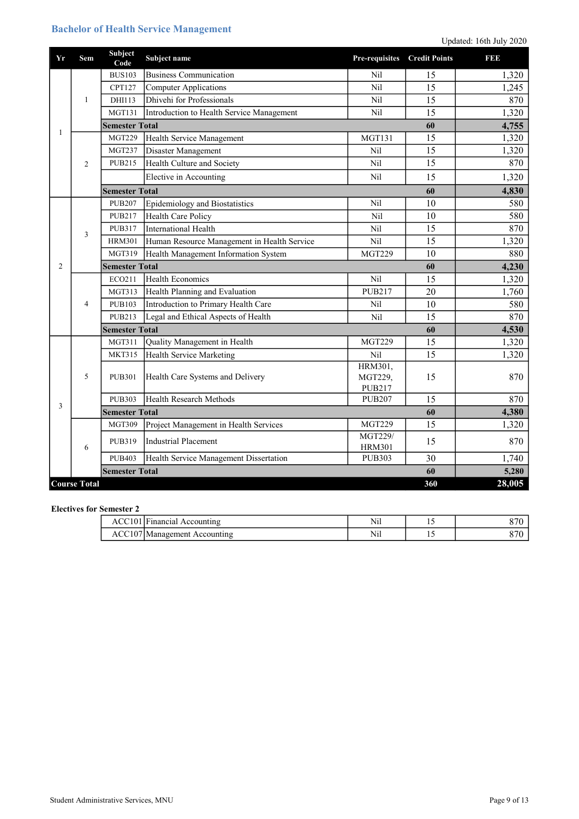## Bachelor of Health Service Management

| Yr | Sem                 | Subject<br>Code       | Subject name                                | Pre-requisites                 | <b>Credit Points</b> | 19313  |
|----|---------------------|-----------------------|---------------------------------------------|--------------------------------|----------------------|--------|
|    |                     | <b>BUS103</b>         | <b>Business Communication</b>               | Nil                            | 15                   | 1,320  |
|    |                     | <b>CPT127</b>         | <b>Computer Applications</b>                | Nil                            | 15                   | 1,245  |
|    | $\mathbf{1}$        | DHI113                | Dhivehi for Professionals                   | Nil                            | 15                   | 870    |
|    |                     | <b>MGT131</b>         | Introduction to Health Service Management   | Nil                            | 15                   | 1,320  |
|    |                     | <b>Semester Total</b> |                                             |                                | 60                   | 4,755  |
| 1  |                     | <b>MGT229</b>         | Health Service Management                   | <b>MGT131</b>                  | 15                   | 1,320  |
|    |                     | <b>MGT237</b>         | Disaster Management                         | Nil                            | 15                   | 1,320  |
|    | $\overline{2}$      | <b>PUB215</b>         | Health Culture and Society                  | Nil                            | 15                   | 870    |
|    |                     |                       | Elective in Accounting                      | Nil                            | 15                   | 1,320  |
|    |                     | <b>Semester Total</b> |                                             |                                | 60                   | 4,830  |
|    |                     | <b>PUB207</b>         | Epidemiology and Biostatistics              | Nil                            | 10                   | 580    |
|    |                     | <b>PUB217</b>         | <b>Health Care Policy</b>                   | Nil                            | 10                   | 580    |
|    | 3                   | <b>PUB317</b>         | <b>International Health</b>                 | Nil                            | 15                   | 870    |
|    |                     | <b>HRM301</b>         | Human Resource Management in Health Service | Nil                            | 15                   | 1,320  |
|    |                     | MGT319                | Health Management Information System        | <b>MGT229</b>                  | 10                   | 880    |
| 2  |                     | <b>Semester Total</b> |                                             |                                | 60                   | 4,230  |
|    | $\overline{4}$      | ECO211                | <b>Health Economics</b>                     | Nil                            | 15                   | 1,320  |
|    |                     | <b>MGT313</b>         | Health Planning and Evaluation              | <b>PUB217</b>                  | 20                   | 1,760  |
|    |                     | <b>PUB103</b>         | Introduction to Primary Health Care         | Nil                            | 10                   | 580    |
|    |                     | <b>PUB213</b>         | Legal and Ethical Aspects of Health         | Nil                            | 15                   | 870    |
|    |                     | <b>Semester Total</b> |                                             |                                | 60                   | 4,530  |
|    |                     | <b>MGT311</b>         | Quality Management in Health                | <b>MGT229</b>                  | 15                   | 1,320  |
|    |                     | <b>MKT315</b>         | <b>Health Service Marketing</b>             | Nil                            | 15                   | 1,320  |
|    |                     |                       |                                             | HRM301,                        |                      |        |
|    | 5                   | <b>PUB301</b>         | Health Care Systems and Delivery            | MGT229,                        | 15                   | 870    |
|    |                     | <b>PUB303</b>         | Health Research Methods                     | <b>PUB217</b><br><b>PUB207</b> | 15                   | 870    |
| 3  |                     | <b>Semester Total</b> |                                             |                                | 60                   | 4,380  |
|    |                     | <b>MGT309</b>         | Project Management in Health Services       | <b>MGT229</b>                  | 15                   | 1,320  |
|    |                     |                       |                                             | MGT229/                        |                      |        |
|    | 6                   | <b>PUB319</b>         | <b>Industrial Placement</b>                 | <b>HRM301</b>                  | 15                   | 870    |
|    |                     | <b>PUB403</b>         | Health Service Management Dissertation      | <b>PUB303</b>                  | 30                   | 1,740  |
|    |                     | <b>Semester Total</b> |                                             |                                | 60                   | 5,280  |
|    | <b>Course Total</b> |                       |                                             |                                | 360                  | 28,005 |

#### Electives for Semester 2

| $\text{ACC}101$ <sup>IF</sup><br><b>Trinancial</b><br>Accounting | $-1$<br>N11          | . . | ັ |
|------------------------------------------------------------------|----------------------|-----|---|
| Accounting<br>UManagement.<br>ACC.                               | <b>A T</b> *1<br>N1l | . . |   |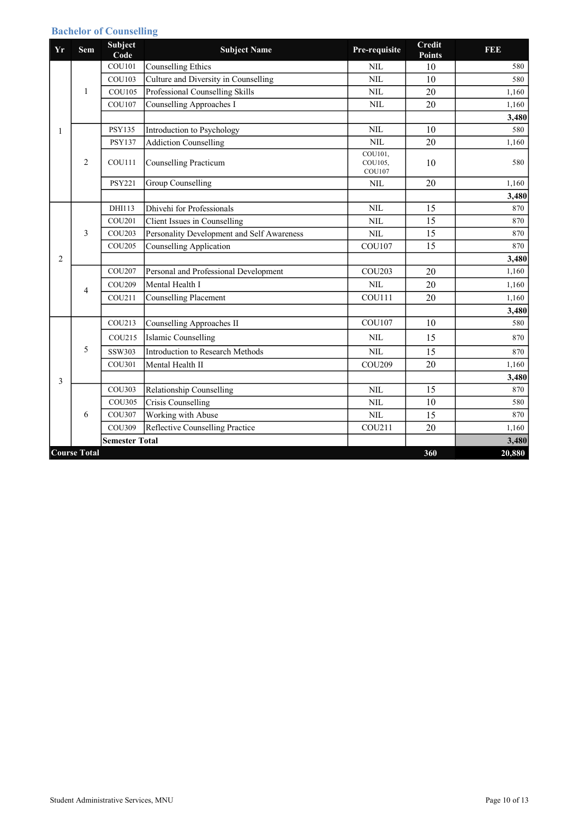## Bachelor of Counselling

| Yr             | <b>Sem</b>          | Subject<br>Code       | <b>Subject Name</b>                        | Pre-requisite                       | <b>Credit</b><br><b>Points</b> | <b>BBB</b> |
|----------------|---------------------|-----------------------|--------------------------------------------|-------------------------------------|--------------------------------|------------|
|                |                     | <b>COU101</b>         | <b>Counselling Ethics</b>                  | <b>NIL</b>                          | 10                             | 580        |
|                |                     | <b>COU103</b>         | Culture and Diversity in Counselling       | <b>NIL</b>                          | 10                             | 580        |
|                | 1                   | <b>COU105</b>         | Professional Counselling Skills            | <b>NIL</b>                          | 20                             | 1,160      |
|                |                     | <b>COU107</b>         | <b>Counselling Approaches I</b>            | <b>NIL</b>                          | 20                             | 1,160      |
|                |                     |                       |                                            |                                     |                                | 3,480      |
| 1              |                     | <b>PSY135</b>         | Introduction to Psychology                 | $\rm NIL$                           | 10                             | 580        |
|                |                     | <b>PSY137</b>         | <b>Addiction Counselling</b>               | $\text{NIL}$                        | 20                             | 1,160      |
|                | $\overline{2}$      | <b>COU111</b>         | <b>Counselling Practicum</b>               | COU101,<br>COU105,<br><b>COU107</b> | 10                             | 580        |
|                |                     | <b>PSY221</b>         | Group Counselling                          | <b>NIL</b>                          | 20                             | 1,160      |
|                |                     |                       |                                            |                                     |                                | 3,480      |
|                |                     | DHI113                | Dhivehi for Professionals                  | <b>NIL</b>                          | 15                             | 870        |
|                |                     | COU201                | Client Issues in Counselling               | <b>NIL</b>                          | 15                             | 870        |
|                | 3                   | <b>COU203</b>         | Personality Development and Self Awareness | <b>NIL</b>                          | 15                             | 870        |
|                |                     | <b>COU205</b>         | <b>Counselling Application</b>             | <b>COU107</b>                       | 15                             | 870        |
| $\overline{c}$ |                     |                       |                                            |                                     |                                | 3,480      |
|                | $\overline{4}$      | <b>COU207</b>         | Personal and Professional Development      | <b>COU203</b>                       | 20                             | 1,160      |
|                |                     | <b>COU209</b>         | Mental Health I                            | <b>NIL</b>                          | 20                             | 1,160      |
|                |                     | COU211                | <b>Counselling Placement</b>               | <b>COU111</b>                       | 20                             | 1,160      |
|                |                     |                       |                                            |                                     |                                | 3,480      |
|                |                     | COU213                | Counselling Approaches II                  | <b>COU107</b>                       | 10                             | 580        |
|                |                     | COU215                | Islamic Counselling                        | <b>NIL</b>                          | 15                             | 870        |
|                | 5                   | SSW303                | Introduction to Research Methods           | <b>NIL</b>                          | 15                             | 870        |
|                |                     | <b>COU301</b>         | Mental Health II                           | <b>COU209</b>                       | 20                             | 1,160      |
| 3              |                     |                       |                                            |                                     |                                | 3,480      |
|                |                     | COU303                | Relationship Counselling                   | <b>NIL</b>                          | 15                             | 870        |
|                |                     | COU305                | Crisis Counselling                         | $\text{NIL}$                        | 10                             | 580        |
|                | 6                   | <b>COU307</b>         | Working with Abuse                         | <b>NIL</b>                          | 15                             | 870        |
|                |                     | <b>COU309</b>         | Reflective Counselling Practice            | COU211                              | 20                             | 1,160      |
|                |                     | <b>Semester Total</b> |                                            |                                     |                                | 3,480      |
|                | <b>Course Total</b> |                       |                                            |                                     | 360                            | 20,880     |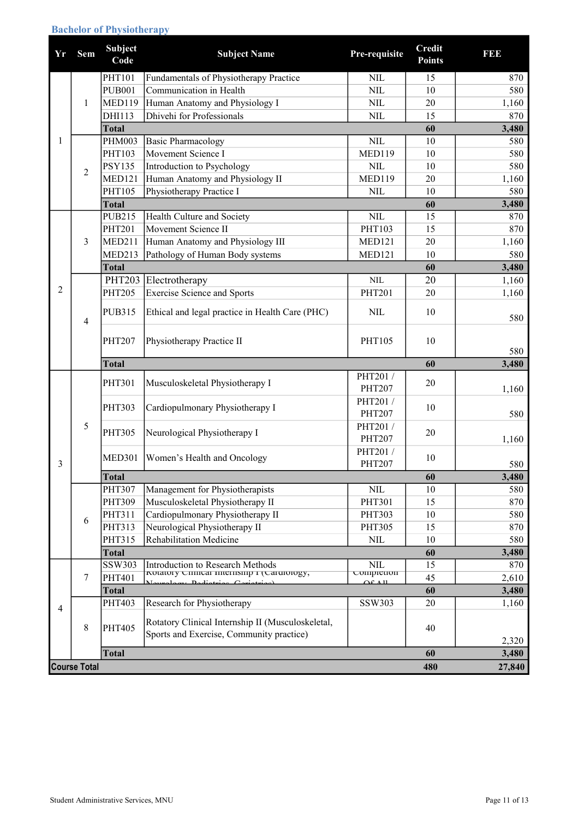## Bachelor of Physiotherapy

| Yr             | <b>Sem</b>     | <b>Subject</b><br>Code | <b>Subject Name</b>                                                                            | Pre-requisite                             | <b>Credit</b><br><b>Points</b> | <b>BBB</b>     |
|----------------|----------------|------------------------|------------------------------------------------------------------------------------------------|-------------------------------------------|--------------------------------|----------------|
|                |                | <b>PHT101</b>          | Fundamentals of Physiotherapy Practice                                                         | $NIL$                                     | 15                             | 870            |
|                |                | <b>PUB001</b>          | Communication in Health                                                                        | NIL                                       | 10                             | 580            |
|                | $\mathbf{1}$   | <b>MED119</b>          | Human Anatomy and Physiology I                                                                 | NIL                                       | 20                             | 1,160          |
|                |                | DHI113                 | Dhivehi for Professionals                                                                      | NIL                                       | 15                             | 870            |
|                |                | <b>Total</b>           |                                                                                                |                                           | 60                             | 3,480          |
| 1              |                | <b>PHM003</b>          | <b>Basic Pharmacology</b>                                                                      | <b>NIL</b>                                | 10                             | 580            |
|                |                | PHT103                 | Movement Science I                                                                             | <b>MED119</b>                             | 10                             | 580            |
|                | $\overline{2}$ | <b>PSY135</b>          | Introduction to Psychology                                                                     | $NIL$                                     | 10                             | 580            |
|                |                | <b>MED121</b>          | Human Anatomy and Physiology II                                                                | <b>MED119</b>                             | 20                             | 1,160          |
|                |                | PHT105                 | Physiotherapy Practice I                                                                       | <b>NIL</b>                                | 10                             | 580            |
|                |                | <b>Total</b>           |                                                                                                |                                           | 60                             | 3,480          |
|                |                | <b>PUB215</b>          | Health Culture and Society                                                                     | <b>NIL</b>                                | 15                             | 870            |
|                |                | <b>PHT201</b>          | Movement Science II                                                                            | PHT103                                    | 15                             | 870            |
|                | $\overline{3}$ | MED211                 | Human Anatomy and Physiology III                                                               | <b>MED121</b>                             | 20                             | 1,160          |
|                |                | <b>MED213</b>          | Pathology of Human Body systems                                                                | <b>MED121</b>                             | 10                             | 580            |
|                |                | <b>Total</b>           |                                                                                                |                                           | 60                             | 3,480          |
|                |                | <b>PHT203</b>          | Electrotherapy                                                                                 | <b>NIL</b>                                | 20                             | 1,160          |
| $\overline{2}$ |                | <b>PHT205</b>          | <b>Exercise Science and Sports</b>                                                             | <b>PHT201</b>                             | 20                             | 1,160          |
|                | $\overline{4}$ | <b>PUB315</b>          | Ethical and legal practice in Health Care (PHC)                                                | <b>NIL</b>                                | 10                             | 580            |
|                |                | <b>PHT207</b>          | Physiotherapy Practice II                                                                      | PHT105                                    | 10                             | 580            |
|                |                | <b>Total</b>           |                                                                                                |                                           | 60                             | 3,480          |
|                |                |                        |                                                                                                |                                           |                                |                |
|                |                | <b>PHT301</b>          | Musculoskeletal Physiotherapy I                                                                | PHT201/<br><b>PHT207</b>                  | 20                             | 1,160          |
|                |                | PHT303                 | Cardiopulmonary Physiotherapy I                                                                | PHT201 /<br>PHT207                        | 10                             | 580            |
|                | 5              | <b>PHT305</b>          | Neurological Physiotherapy I                                                                   | PHT201 /<br>PHT207                        | 20                             | 1,160          |
| 3              |                | <b>MED301</b>          | Women's Health and Oncology                                                                    | PHT201/<br><b>PHT207</b>                  | 10                             | 580            |
|                |                | Total                  |                                                                                                |                                           | 60                             | 3,480          |
|                |                | <b>PHT307</b>          | Management for Physiotherapists                                                                | $NIL$                                     | 10                             | 580            |
|                |                | <b>PHT309</b>          | Musculoskeletal Physiotherapy II                                                               | PHT301                                    | 15                             | 870            |
|                | 6              | PHT311                 | Cardiopulmonary Physiotherapy II                                                               | PHT303                                    | 10                             | 580            |
|                |                | PHT313                 | Neurological Physiotherapy II                                                                  | PHT305                                    | 15                             | 870            |
|                |                | PHT315                 | Rehabilitation Medicine                                                                        | $\text{NIL}$                              | 10                             | 580            |
|                |                | <b>Total</b>           |                                                                                                |                                           | 60                             | 3,480          |
|                |                | SSW303                 | Introduction to Research Methods                                                               | <b>NIL</b>                                | 15                             | 870            |
|                | $\tau$         | PHT401                 | rotatory Cinnear miernsmp r (Carurology,<br>class Dedictors Comptoned<br>$\mathbf{M}_{\alpha}$ | comprenon<br>$\triangle$ £ $\triangle$ 11 | 45                             | 2,610          |
|                |                | <b>Total</b>           |                                                                                                |                                           | 60                             | 3,480          |
| 4              |                | PHT403                 | Research for Physiotherapy                                                                     | SSW303                                    | 20                             | 1,160          |
|                | $\,8\,$        | <b>PHT405</b>          | Rotatory Clinical Internship II (Musculoskeletal,<br>Sports and Exercise, Community practice)  |                                           | 40                             |                |
|                |                | <b>Total</b>           |                                                                                                |                                           | 60                             | 2,320<br>3,480 |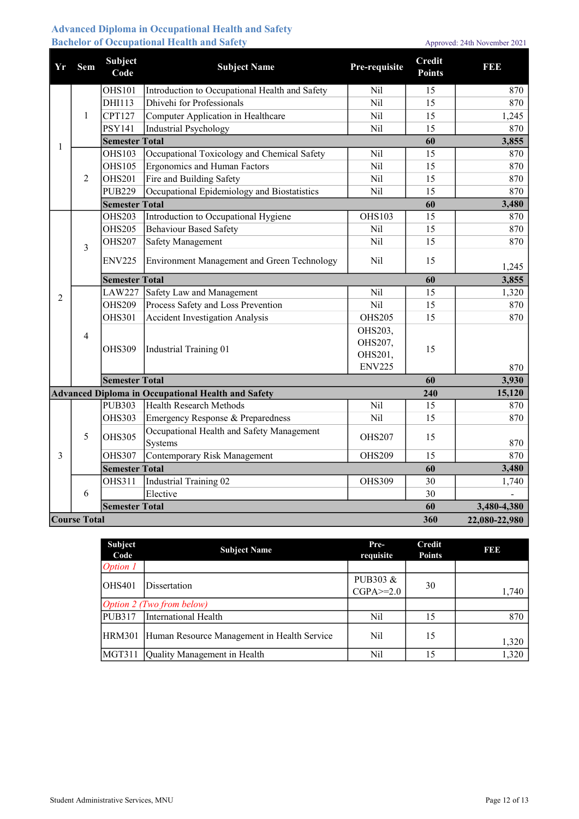### Advanced Diploma in Occupational Health and Safety Bachelor of Occupational Health and Safety Approved: 24th November 2021

| Yr             | Sem                 | Subject<br>Code       | <b>Subject Name</b>                                       | Pre-requisite                                  | <b>Credit</b><br><b>Points</b> | <b>BBB</b>    |
|----------------|---------------------|-----------------------|-----------------------------------------------------------|------------------------------------------------|--------------------------------|---------------|
|                |                     | <b>OHS101</b>         | Introduction to Occupational Health and Safety            | Nil                                            | 15                             | 870           |
|                |                     | DHI113                | Dhivehi for Professionals                                 | Nil                                            | 15                             | 870           |
|                | $\mathbf{1}$        | <b>CPT127</b>         | Computer Application in Healthcare                        | Nil                                            | 15                             | 1,245         |
|                |                     | <b>PSY141</b>         | <b>Industrial Psychology</b>                              | Nil                                            | 15                             | 870           |
| 1              |                     | <b>Semester Total</b> |                                                           |                                                | 60                             | 3,855         |
|                |                     | <b>OHS103</b>         | Occupational Toxicology and Chemical Safety               | Nil                                            | 15                             | 870           |
|                |                     | <b>OHS105</b>         | <b>Ergonomics and Human Factors</b>                       | Nil                                            | 15                             | 870           |
|                | 2                   | <b>OHS201</b>         | Fire and Building Safety                                  | Nil                                            | 15                             | 870           |
|                |                     | <b>PUB229</b>         | Occupational Epidemiology and Biostatistics               | Nil                                            | 15                             | 870           |
|                |                     | <b>Semester Total</b> |                                                           |                                                | 60                             | 3,480         |
|                |                     | <b>OHS203</b>         | Introduction to Occupational Hygiene                      | <b>OHS103</b>                                  | 15                             | 870           |
|                |                     | <b>OHS205</b>         | <b>Behaviour Based Safety</b>                             | Nil                                            | 15                             | 870           |
|                | $\overline{3}$      | <b>OHS207</b>         | Safety Management                                         | Nil                                            | 15                             | 870           |
|                |                     | <b>ENV225</b>         | Environment Management and Green Technology               | Nil                                            | 15                             | 1,245         |
|                |                     | <b>Semester Total</b> |                                                           |                                                | 60                             | 3,855         |
| $\overline{2}$ | $\overline{4}$      | <b>LAW227</b>         | Safety Law and Management                                 | Nil                                            | 15                             | 1,320         |
|                |                     | <b>OHS209</b>         | Process Safety and Loss Prevention                        | Nil                                            | 15                             | 870           |
|                |                     | <b>OHS301</b>         | <b>Accident Investigation Analysis</b>                    | <b>OHS205</b>                                  | 15                             | 870           |
|                |                     | <b>OHS309</b>         | <b>Industrial Training 01</b>                             | OHS203,<br>OHS207,<br>OHS201,<br><b>ENV225</b> | 15                             | 870           |
|                |                     | <b>Semester Total</b> |                                                           |                                                | 60                             | 3,930         |
|                |                     |                       | <b>Advanced Diploma in Occupational Health and Safety</b> |                                                | 240                            | 15,120        |
|                |                     | <b>PUB303</b>         | Health Research Methods                                   | Nil                                            | 15                             | 870           |
|                |                     | <b>OHS303</b>         | Emergency Response & Preparedness                         | Nil                                            | 15                             | 870           |
|                | 5                   | <b>OHS305</b>         | Occupational Health and Safety Management<br>Systems      | <b>OHS207</b>                                  | 15                             | 870           |
| 3              |                     | <b>OHS307</b>         | Contemporary Risk Management                              | <b>OHS209</b>                                  | 15                             | 870           |
|                |                     | <b>Semester Total</b> |                                                           |                                                | 60                             | 3,480         |
|                |                     | <b>OHS311</b>         | <b>Industrial Training 02</b>                             | <b>OHS309</b>                                  | 30                             | 1,740         |
|                | 6                   |                       | Elective                                                  |                                                | 30                             |               |
|                |                     | <b>Semester Total</b> |                                                           |                                                | 60                             | 3,480-4,380   |
|                | <b>Course Total</b> |                       |                                                           |                                                | 360                            | 22,080-22,980 |

| <b>Subject</b><br>Code | <b>Subject Name</b>                         | Pre-<br>requisite           | Credit<br><b>Points</b> | 1990  |
|------------------------|---------------------------------------------|-----------------------------|-------------------------|-------|
| Option 1               |                                             |                             |                         |       |
| lOHS401                | Dissertation                                | PUB303 &<br>$CGPA \geq 2.0$ | 30                      | 1,740 |
|                        | Option 2 (Two from below)                   |                             |                         |       |
| PUB317                 | International Health                        | Nil                         | 15                      | 870   |
| HRM301                 | Human Resource Management in Health Service | Nil                         | 15                      | 1,320 |
| MGT311                 | Quality Management in Health                | Nil                         | 15                      | 1,320 |

Student Administrative Services, MNU Page 12 of 13